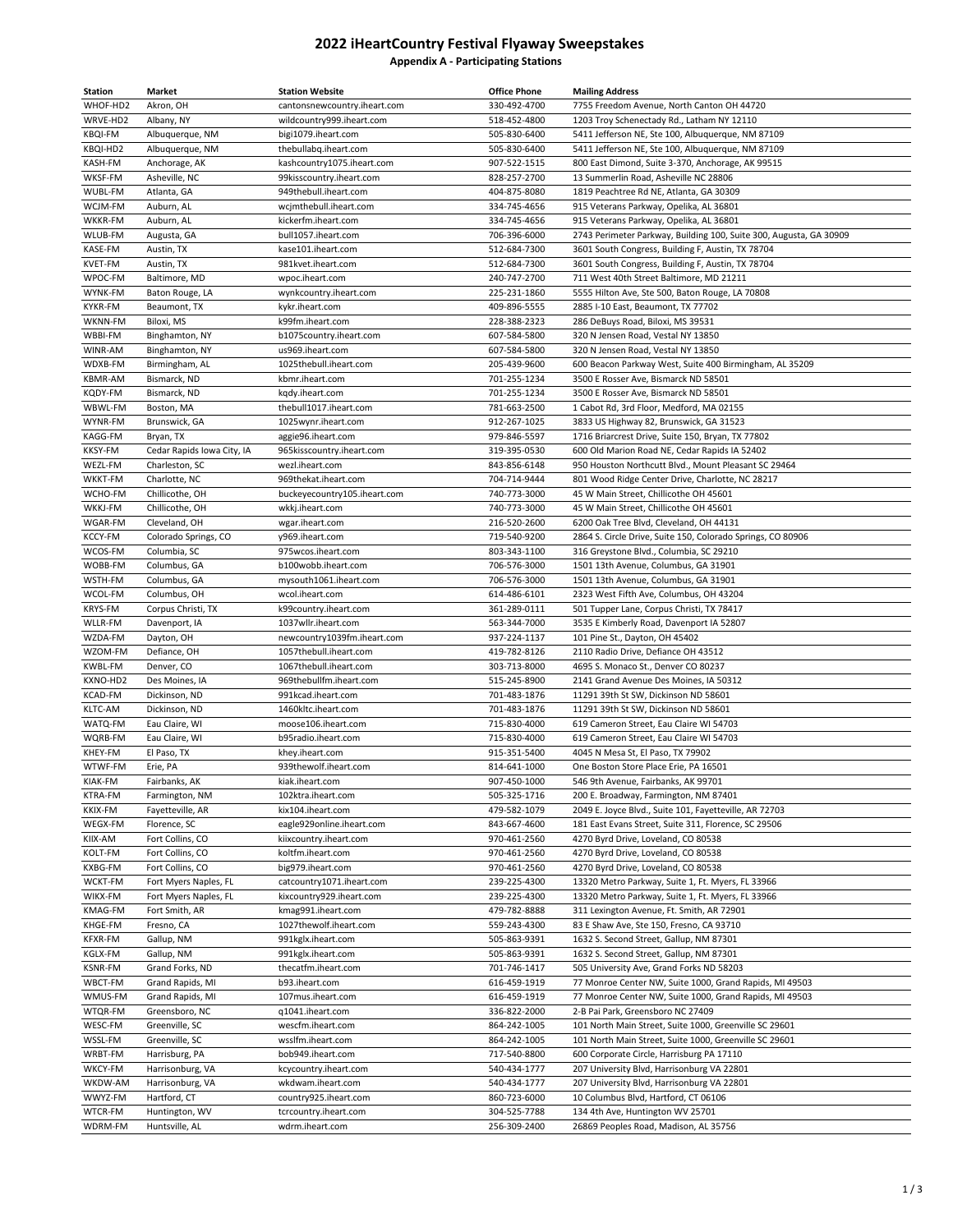## **2022 iHeartCountry Festival Flyaway Sweepstakes Appendix A - Participating Stations**

| <b>Station</b>            | Market                                  | <b>Station Website</b>                          | <b>Office Phone</b>          | <b>Mailing Address</b>                                                                                        |
|---------------------------|-----------------------------------------|-------------------------------------------------|------------------------------|---------------------------------------------------------------------------------------------------------------|
| WHOF-HD2                  | Akron, OH                               | cantonsnewcountry.iheart.com                    | 330-492-4700                 | 7755 Freedom Avenue, North Canton OH 44720                                                                    |
| WRVE-HD2                  | Albany, NY                              | wildcountry999.iheart.com                       | 518-452-4800                 | 1203 Troy Schenectady Rd., Latham NY 12110                                                                    |
| <b>KBQI-FM</b>            | Albuquerque, NM                         | bigi1079.iheart.com                             | 505-830-6400                 | 5411 Jefferson NE, Ste 100, Albuquerque, NM 87109                                                             |
| KBQI-HD2                  | Albuquerque, NM                         | thebullabq.iheart.com                           | 505-830-6400                 | 5411 Jefferson NE, Ste 100, Albuquerque, NM 87109                                                             |
| KASH-FM                   | Anchorage, AK                           | kashcountry1075.iheart.com                      | 907-522-1515                 | 800 East Dimond, Suite 3-370, Anchorage, AK 99515                                                             |
| WKSF-FM                   | Asheville, NC                           | 99kisscountry.iheart.com                        | 828-257-2700                 | 13 Summerlin Road, Asheville NC 28806                                                                         |
| WUBL-FM                   | Atlanta, GA                             | 949thebull.iheart.com                           | 404-875-8080                 | 1819 Peachtree Rd NE, Atlanta, GA 30309                                                                       |
| WCJM-FM                   | Auburn, AL                              | wcjmthebull.iheart.com                          | 334-745-4656                 | 915 Veterans Parkway, Opelika, AL 36801                                                                       |
| WKKR-FM<br>WLUB-FM        | Auburn, AL<br>Augusta, GA               | kickerfm.iheart.com<br>bull1057.iheart.com      | 334-745-4656<br>706-396-6000 | 915 Veterans Parkway, Opelika, AL 36801<br>2743 Perimeter Parkway, Building 100, Suite 300, Augusta, GA 30909 |
| KASE-FM                   | Austin, TX                              | kase101.iheart.com                              | 512-684-7300                 | 3601 South Congress, Building F, Austin, TX 78704                                                             |
| KVET-FM                   | Austin, TX                              | 981kvet.iheart.com                              | 512-684-7300                 | 3601 South Congress, Building F, Austin, TX 78704                                                             |
| WPOC-FM                   | Baltimore, MD                           | wpoc.iheart.com                                 | 240-747-2700                 | 711 West 40th Street Baltimore, MD 21211                                                                      |
| WYNK-FM                   | Baton Rouge, LA                         | wynkcountry.iheart.com                          | 225-231-1860                 | 5555 Hilton Ave, Ste 500, Baton Rouge, LA 70808                                                               |
| <b>KYKR-FM</b>            | Beaumont, TX                            | kykr.iheart.com                                 | 409-896-5555                 | 2885 I-10 East, Beaumont, TX 77702                                                                            |
| WKNN-FM                   | Biloxi, MS                              | k99fm.iheart.com                                | 228-388-2323                 | 286 DeBuys Road, Biloxi, MS 39531                                                                             |
| WBBI-FM                   | Binghamton, NY                          | b1075country.iheart.com                         | 607-584-5800                 | 320 N Jensen Road, Vestal NY 13850                                                                            |
| WINR-AM                   | Binghamton, NY                          | us969.iheart.com                                | 607-584-5800                 | 320 N Jensen Road, Vestal NY 13850                                                                            |
| WDXB-FM                   | Birmingham, AL                          | 1025thebull.iheart.com                          | 205-439-9600                 | 600 Beacon Parkway West, Suite 400 Birmingham, AL 35209                                                       |
| <b>KBMR-AM</b>            | Bismarck, ND                            | kbmr.iheart.com                                 | 701-255-1234                 | 3500 E Rosser Ave, Bismarck ND 58501                                                                          |
| KQDY-FM                   | Bismarck, ND                            | kqdy.iheart.com                                 | 701-255-1234                 | 3500 E Rosser Ave, Bismarck ND 58501                                                                          |
| WBWL-FM                   | Boston, MA                              | thebull1017.iheart.com                          | 781-663-2500                 | 1 Cabot Rd, 3rd Floor, Medford, MA 02155                                                                      |
| WYNR-FM                   | Brunswick, GA                           | 1025wynr.iheart.com                             | 912-267-1025                 | 3833 US Highway 82, Brunswick, GA 31523                                                                       |
| KAGG-FM<br>KKSY-FM        | Bryan, TX<br>Cedar Rapids Iowa City, IA | aggie96.iheart.com<br>965kisscountry.iheart.com | 979-846-5597<br>319-395-0530 | 1716 Briarcrest Drive, Suite 150, Bryan, TX 77802<br>600 Old Marion Road NE, Cedar Rapids IA 52402            |
| WEZL-FM                   | Charleston, SC                          | wezl.iheart.com                                 | 843-856-6148                 | 950 Houston Northcutt Blvd., Mount Pleasant SC 29464                                                          |
| WKKT-FM                   | Charlotte, NC                           | 969thekat.iheart.com                            | 704-714-9444                 | 801 Wood Ridge Center Drive, Charlotte, NC 28217                                                              |
| WCHO-FM                   | Chillicothe, OH                         | buckeyecountry105.iheart.com                    | 740-773-3000                 | 45 W Main Street, Chillicothe OH 45601                                                                        |
| WKKJ-FM                   | Chillicothe, OH                         | wkkj.iheart.com                                 | 740-773-3000                 | 45 W Main Street, Chillicothe OH 45601                                                                        |
| WGAR-FM                   | Cleveland, OH                           | wgar.iheart.com                                 | 216-520-2600                 | 6200 Oak Tree Blvd, Cleveland, OH 44131                                                                       |
| KCCY-FM                   | Colorado Springs, CO                    | y969.iheart.com                                 | 719-540-9200                 | 2864 S. Circle Drive, Suite 150, Colorado Springs, CO 80906                                                   |
| WCOS-FM                   | Columbia, SC                            | 975wcos.iheart.com                              | 803-343-1100                 | 316 Greystone Blvd., Columbia, SC 29210                                                                       |
| WOBB-FM                   | Columbus, GA                            | b100wobb.iheart.com                             | 706-576-3000                 | 1501 13th Avenue, Columbus, GA 31901                                                                          |
| WSTH-FM                   | Columbus, GA                            | mysouth1061.iheart.com                          | 706-576-3000                 | 1501 13th Avenue, Columbus, GA 31901                                                                          |
| WCOL-FM                   | Columbus, OH                            | wcol.iheart.com                                 | 614-486-6101                 | 2323 West Fifth Ave, Columbus, OH 43204                                                                       |
| <b>KRYS-FM</b><br>WLLR-FM | Corpus Christi, TX<br>Davenport, IA     | k99country.iheart.com<br>1037wllr.iheart.com    | 361-289-0111<br>563-344-7000 | 501 Tupper Lane, Corpus Christi, TX 78417<br>3535 E Kimberly Road, Davenport IA 52807                         |
| WZDA-FM                   | Dayton, OH                              | newcountry1039fm.iheart.com                     | 937-224-1137                 | 101 Pine St., Dayton, OH 45402                                                                                |
| WZOM-FM                   | Defiance, OH                            | 1057thebull.iheart.com                          | 419-782-8126                 | 2110 Radio Drive, Defiance OH 43512                                                                           |
| <b>KWBL-FM</b>            | Denver, CO                              | 1067thebull.iheart.com                          | 303-713-8000                 | 4695 S. Monaco St., Denver CO 80237                                                                           |
| KXNO-HD2                  | Des Moines, IA                          | 969thebullfm.iheart.com                         | 515-245-8900                 | 2141 Grand Avenue Des Moines, IA 50312                                                                        |
| KCAD-FM                   | Dickinson, ND                           | 991kcad.iheart.com                              | 701-483-1876                 | 11291 39th St SW, Dickinson ND 58601                                                                          |
| KLTC-AM                   | Dickinson, ND                           | 1460kltc.iheart.com                             | 701-483-1876                 | 11291 39th St SW, Dickinson ND 58601                                                                          |
| WATQ-FM                   | Eau Claire, WI                          | moose106.iheart.com                             | 715-830-4000                 | 619 Cameron Street, Eau Claire WI 54703                                                                       |
| WQRB-FM                   | Eau Claire, WI                          | b95radio.iheart.com                             | 715-830-4000                 | 619 Cameron Street, Eau Claire WI 54703                                                                       |
| KHEY-FM<br>WTWF-FM        | El Paso, TX<br>Erie, PA                 | khey.iheart.com<br>939thewolf.iheart.com        | 915-351-5400<br>814-641-1000 | 4045 N Mesa St, El Paso, TX 79902<br>One Boston Store Place Erie, PA 16501                                    |
| KIAK-FM                   | Fairbanks, AK                           | kiak.iheart.com                                 | 907-450-1000                 | 546 9th Avenue, Fairbanks, AK 99701                                                                           |
| KTRA-FM                   | Farmington, NM                          | 102ktra.iheart.com                              | 505-325-1716                 | 200 E. Broadway, Farmington, NM 87401                                                                         |
| <b>KKIX-FM</b>            | Fayetteville, AR                        | kix104.iheart.com                               | 479-582-1079                 | 2049 E. Joyce Blvd., Suite 101, Fayetteville, AR 72703                                                        |
| WEGX-FM                   | Florence, SC                            | eagle929online.iheart.com                       | 843-667-4600                 | 181 East Evans Street, Suite 311, Florence, SC 29506                                                          |
| KIIX-AM                   | Fort Collins, CO                        | kiixcountry.iheart.com                          | 970-461-2560                 | 4270 Byrd Drive, Loveland, CO 80538                                                                           |
| KOLT-FM                   | Fort Collins, CO                        | koltfm.iheart.com                               | 970-461-2560                 | 4270 Byrd Drive, Loveland, CO 80538                                                                           |
| KXBG-FM                   | Fort Collins, CO                        | big979.iheart.com                               | 970-461-2560                 | 4270 Byrd Drive, Loveland, CO 80538                                                                           |
| WCKT-FM                   | Fort Myers Naples, FL                   | catcountry1071.iheart.com                       | 239-225-4300                 | 13320 Metro Parkway, Suite 1, Ft. Myers, FL 33966                                                             |
| WIKX-FM                   | Fort Myers Naples, FL                   | kixcountry929.iheart.com                        | 239-225-4300                 | 13320 Metro Parkway, Suite 1, Ft. Myers, FL 33966                                                             |
| <b>KMAG-FM</b><br>KHGE-FM | Fort Smith, AR<br>Fresno, CA            | kmag991.iheart.com<br>1027thewolf.iheart.com    | 479-782-8888<br>559-243-4300 | 311 Lexington Avenue, Ft. Smith, AR 72901<br>83 E Shaw Ave, Ste 150, Fresno, CA 93710                         |
| KFXR-FM                   | Gallup, NM                              | 991kglx.iheart.com                              | 505-863-9391                 | 1632 S. Second Street, Gallup, NM 87301                                                                       |
| KGLX-FM                   | Gallup, NM                              | 991kglx.iheart.com                              | 505-863-9391                 | 1632 S. Second Street, Gallup, NM 87301                                                                       |
| <b>KSNR-FM</b>            | Grand Forks, ND                         | thecatfm.iheart.com                             | 701-746-1417                 | 505 University Ave, Grand Forks ND 58203                                                                      |
| WBCT-FM                   | Grand Rapids, MI                        | b93.iheart.com                                  | 616-459-1919                 | 77 Monroe Center NW, Suite 1000, Grand Rapids, MI 49503                                                       |
| WMUS-FM                   | Grand Rapids, MI                        | 107mus.iheart.com                               | 616-459-1919                 | 77 Monroe Center NW, Suite 1000, Grand Rapids, MI 49503                                                       |
| WTQR-FM                   | Greensboro, NC                          | q1041.iheart.com                                | 336-822-2000                 | 2-B Pai Park, Greensboro NC 27409                                                                             |
| WESC-FM                   | Greenville, SC                          | wescfm.iheart.com                               | 864-242-1005                 | 101 North Main Street, Suite 1000, Greenville SC 29601                                                        |
| WSSL-FM                   | Greenville, SC                          | wsslfm.iheart.com                               | 864-242-1005                 | 101 North Main Street, Suite 1000, Greenville SC 29601                                                        |
| WRBT-FM                   | Harrisburg, PA                          | bob949.iheart.com                               | 717-540-8800                 | 600 Corporate Circle, Harrisburg PA 17110                                                                     |
| WKCY-FM<br>WKDW-AM        | Harrisonburg, VA<br>Harrisonburg, VA    | kcycountry.iheart.com                           | 540-434-1777<br>540-434-1777 | 207 University Blvd, Harrisonburg VA 22801<br>207 University Blvd, Harrisonburg VA 22801                      |
| WWYZ-FM                   | Hartford, CT                            | wkdwam.iheart.com<br>country925.iheart.com      | 860-723-6000                 | 10 Columbus Blvd, Hartford, CT 06106                                                                          |
| WTCR-FM                   | Huntington, WV                          | tcrcountry.iheart.com                           | 304-525-7788                 | 134 4th Ave, Huntington WV 25701                                                                              |
| WDRM-FM                   | Huntsville, AL                          | wdrm.iheart.com                                 | 256-309-2400                 | 26869 Peoples Road, Madison, AL 35756                                                                         |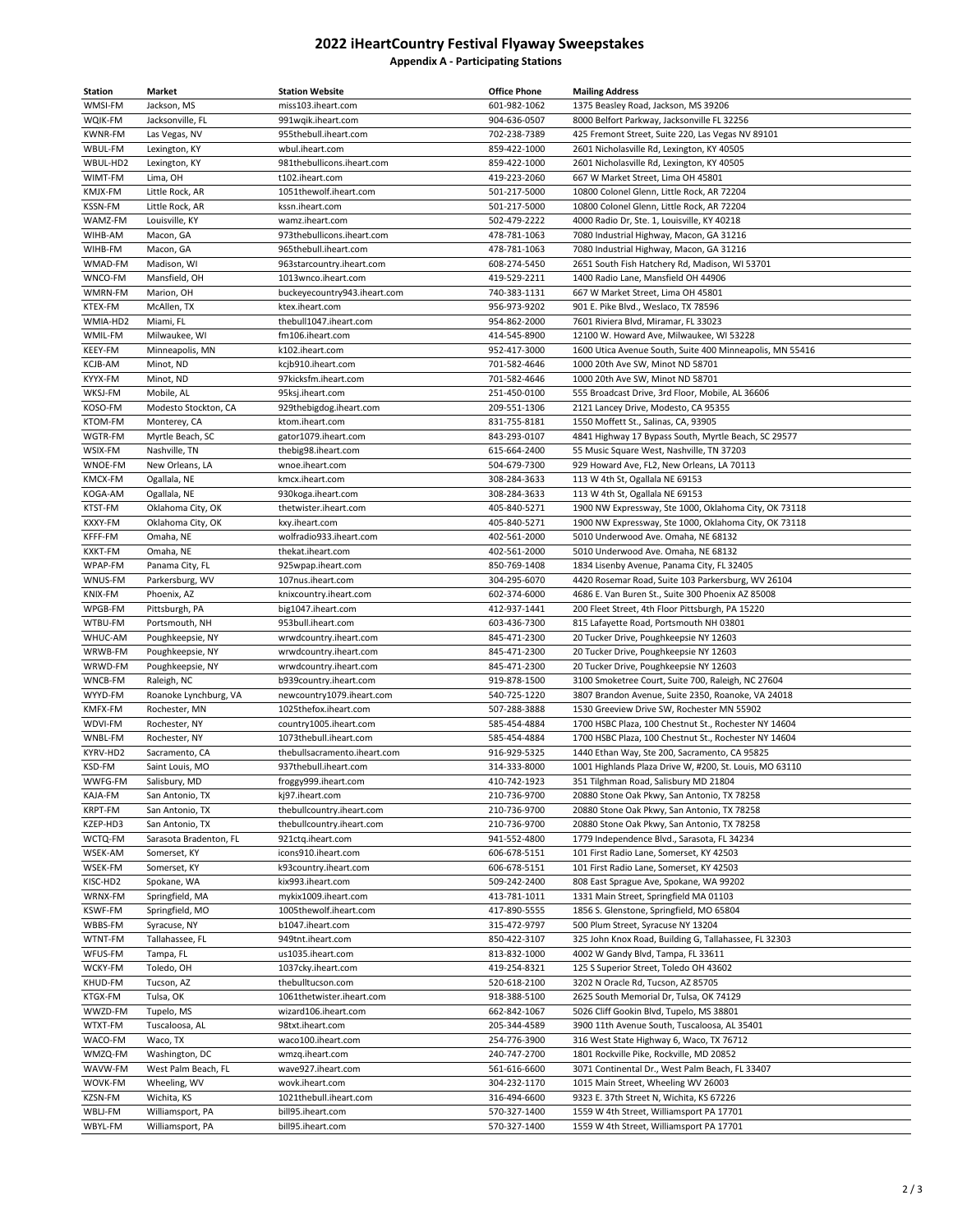## **2022 iHeartCountry Festival Flyaway Sweepstakes Appendix A - Participating Stations**

| Station        | Market                 | <b>Station Website</b>       | <b>Office Phone</b> | <b>Mailing Address</b>                                   |
|----------------|------------------------|------------------------------|---------------------|----------------------------------------------------------|
| WMSI-FM        | Jackson, MS            | miss103.iheart.com           | 601-982-1062        | 1375 Beasley Road, Jackson, MS 39206                     |
| WQIK-FM        | Jacksonville, FL       | 991wqik.iheart.com           | 904-636-0507        | 8000 Belfort Parkway, Jacksonville FL 32256              |
| <b>KWNR-FM</b> | Las Vegas, NV          | 955thebull.iheart.com        | 702-238-7389        | 425 Fremont Street, Suite 220, Las Vegas NV 89101        |
| WBUL-FM        | Lexington, KY          | wbul.iheart.com              | 859-422-1000        | 2601 Nicholasville Rd, Lexington, KY 40505               |
| WBUL-HD2       | Lexington, KY          | 981thebullicons.iheart.com   | 859-422-1000        | 2601 Nicholasville Rd, Lexington, KY 40505               |
| WIMT-FM        | Lima, OH               | t102.iheart.com              | 419-223-2060        | 667 W Market Street, Lima OH 45801                       |
| KMJX-FM        | Little Rock, AR        | 1051thewolf.iheart.com       | 501-217-5000        | 10800 Colonel Glenn, Little Rock, AR 72204               |
| <b>KSSN-FM</b> | Little Rock, AR        | kssn.iheart.com              | 501-217-5000        | 10800 Colonel Glenn, Little Rock, AR 72204               |
| WAMZ-FM        | Louisville, KY         | wamz.iheart.com              | 502-479-2222        | 4000 Radio Dr, Ste. 1, Louisville, KY 40218              |
| WIHB-AM        | Macon, GA              | 973thebullicons.iheart.com   | 478-781-1063        | 7080 Industrial Highway, Macon, GA 31216                 |
| WIHB-FM        | Macon, GA              | 965thebull.iheart.com        | 478-781-1063        | 7080 Industrial Highway, Macon, GA 31216                 |
| WMAD-FM        | Madison, WI            | 963starcountry.iheart.com    | 608-274-5450        | 2651 South Fish Hatchery Rd, Madison, WI 53701           |
|                |                        |                              |                     |                                                          |
| WNCO-FM        | Mansfield, OH          | 1013wnco.iheart.com          | 419-529-2211        | 1400 Radio Lane, Mansfield OH 44906                      |
| WMRN-FM        | Marion, OH             | buckeyecountry943.iheart.com | 740-383-1131        | 667 W Market Street, Lima OH 45801                       |
| KTEX-FM        | McAllen, TX            | ktex.iheart.com              | 956-973-9202        | 901 E. Pike Blvd., Weslaco, TX 78596                     |
| WMIA-HD2       | Miami, FL              | thebull1047.iheart.com       | 954-862-2000        | 7601 Riviera Blvd, Miramar, FL 33023                     |
| WMIL-FM        | Milwaukee, WI          | fm106.iheart.com             | 414-545-8900        | 12100 W. Howard Ave, Milwaukee, WI 53228                 |
| KEEY-FM        | Minneapolis, MN        | k102.iheart.com              | 952-417-3000        | 1600 Utica Avenue South, Suite 400 Minneapolis, MN 55416 |
| KCJB-AM        | Minot, ND              | kcjb910.iheart.com           | 701-582-4646        | 1000 20th Ave SW, Minot ND 58701                         |
| KYYX-FM        | Minot, ND              | 97kicksfm.iheart.com         | 701-582-4646        | 1000 20th Ave SW, Minot ND 58701                         |
| WKSJ-FM        | Mobile, AL             | 95ksj.iheart.com             | 251-450-0100        | 555 Broadcast Drive, 3rd Floor, Mobile, AL 36606         |
| KOSO-FM        | Modesto Stockton, CA   | 929thebigdog.iheart.com      | 209-551-1306        | 2121 Lancey Drive, Modesto, CA 95355                     |
| <b>KTOM-FM</b> | Monterey, CA           | ktom.iheart.com              | 831-755-8181        | 1550 Moffett St., Salinas, CA, 93905                     |
| WGTR-FM        | Myrtle Beach, SC       | gator1079.iheart.com         | 843-293-0107        | 4841 Highway 17 Bypass South, Myrtle Beach, SC 29577     |
| WSIX-FM        | Nashville, TN          | thebig98.iheart.com          | 615-664-2400        | 55 Music Square West, Nashville, TN 37203                |
| WNOE-FM        | New Orleans, LA        | wnoe.iheart.com              | 504-679-7300        | 929 Howard Ave, FL2, New Orleans, LA 70113               |
| KMCX-FM        | Ogallala, NE           | kmcx.iheart.com              | 308-284-3633        | 113 W 4th St, Ogallala NE 69153                          |
| KOGA-AM        | Ogallala, NE           | 930koga.iheart.com           | 308-284-3633        | 113 W 4th St, Ogallala NE 69153                          |
| KTST-FM        | Oklahoma City, OK      | thetwister.iheart.com        | 405-840-5271        | 1900 NW Expressway, Ste 1000, Oklahoma City, OK 73118    |
| KXXY-FM        | Oklahoma City, OK      | kxy.iheart.com               | 405-840-5271        | 1900 NW Expressway, Ste 1000, Oklahoma City, OK 73118    |
| KFFF-FM        | Omaha, NE              | wolfradio933.iheart.com      | 402-561-2000        | 5010 Underwood Ave. Omaha, NE 68132                      |
| KXKT-FM        | Omaha, NE              | thekat.iheart.com            | 402-561-2000        | 5010 Underwood Ave. Omaha, NE 68132                      |
| WPAP-FM        | Panama City, FL        | 925wpap.iheart.com           | 850-769-1408        | 1834 Lisenby Avenue, Panama City, FL 32405               |
| WNUS-FM        | Parkersburg, WV        | 107nus.iheart.com            | 304-295-6070        | 4420 Rosemar Road, Suite 103 Parkersburg, WV 26104       |
| KNIX-FM        | Phoenix, AZ            | knixcountry.iheart.com       | 602-374-6000        | 4686 E. Van Buren St., Suite 300 Phoenix AZ 85008        |
| WPGB-FM        | Pittsburgh, PA         | big1047.iheart.com           | 412-937-1441        | 200 Fleet Street, 4th Floor Pittsburgh, PA 15220         |
| WTBU-FM        | Portsmouth, NH         | 953bull.iheart.com           | 603-436-7300        | 815 Lafayette Road, Portsmouth NH 03801                  |
|                |                        |                              |                     |                                                          |
| WHUC-AM        | Poughkeepsie, NY       | wrwdcountry.iheart.com       | 845-471-2300        | 20 Tucker Drive, Poughkeepsie NY 12603                   |
| WRWB-FM        | Poughkeepsie, NY       | wrwdcountry.iheart.com       | 845-471-2300        | 20 Tucker Drive, Poughkeepsie NY 12603                   |
| WRWD-FM        | Poughkeepsie, NY       | wrwdcountry.iheart.com       | 845-471-2300        | 20 Tucker Drive, Poughkeepsie NY 12603                   |
| WNCB-FM        | Raleigh, NC            | b939country.iheart.com       | 919-878-1500        | 3100 Smoketree Court, Suite 700, Raleigh, NC 27604       |
| WYYD-FM        | Roanoke Lynchburg, VA  | newcountry1079.iheart.com    | 540-725-1220        | 3807 Brandon Avenue, Suite 2350, Roanoke, VA 24018       |
| KMFX-FM        | Rochester, MN          | 1025thefox.iheart.com        | 507-288-3888        | 1530 Greeview Drive SW, Rochester MN 55902               |
| WDVI-FM        | Rochester, NY          | country1005.iheart.com       | 585-454-4884        | 1700 HSBC Plaza, 100 Chestnut St., Rochester NY 14604    |
| WNBL-FM        | Rochester, NY          | 1073thebull.iheart.com       | 585-454-4884        | 1700 HSBC Plaza, 100 Chestnut St., Rochester NY 14604    |
| KYRV-HD2       | Sacramento, CA         | thebullsacramento.iheart.com | 916-929-5325        | 1440 Ethan Way, Ste 200, Sacramento, CA 95825            |
| KSD-FM         | Saint Louis, MO        | 937thebull.iheart.com        | 314-333-8000        | 1001 Highlands Plaza Drive W, #200, St. Louis, MO 63110  |
| WWFG-FM        | Salisbury, MD          | froggy999.iheart.com         | 410-742-1923        | 351 Tilghman Road, Salisbury MD 21804                    |
| KAJA-FM        | San Antonio, TX        | kj97.iheart.com              | 210-736-9700        | 20880 Stone Oak Pkwy, San Antonio, TX 78258              |
| KRPT-FM        | San Antonio, TX        | thebullcountry.iheart.com    | 210-736-9700        | 20880 Stone Oak Pkwy, San Antonio, TX 78258              |
| KZEP-HD3       | San Antonio, TX        | thebullcountry.iheart.com    | 210-736-9700        | 20880 Stone Oak Pkwy, San Antonio, TX 78258              |
| WCTQ-FM        | Sarasota Bradenton, FL | 921ctq.iheart.com            | 941-552-4800        | 1779 Independence Blvd., Sarasota, FL 34234              |
| WSEK-AM        | Somerset, KY           | icons910.iheart.com          | 606-678-5151        | 101 First Radio Lane, Somerset, KY 42503                 |
| WSEK-FM        | Somerset, KY           | k93country.iheart.com        | 606-678-5151        | 101 First Radio Lane, Somerset, KY 42503                 |
| KISC-HD2       | Spokane, WA            | kix993.iheart.com            | 509-242-2400        | 808 East Sprague Ave, Spokane, WA 99202                  |
| WRNX-FM        | Springfield, MA        | mykix1009.iheart.com         | 413-781-1011        | 1331 Main Street, Springfield MA 01103                   |
| <b>KSWF-FM</b> | Springfield, MO        | 1005thewolf.iheart.com       | 417-890-5555        | 1856 S. Glenstone, Springfield, MO 65804                 |
| WBBS-FM        | Syracuse, NY           | b1047.iheart.com             | 315-472-9797        | 500 Plum Street, Syracuse NY 13204                       |
| WTNT-FM        | Tallahassee, FL        | 949tnt.iheart.com            | 850-422-3107        | 325 John Knox Road, Building G, Tallahassee, FL 32303    |
| WFUS-FM        | Tampa, FL              | us1035.iheart.com            | 813-832-1000        | 4002 W Gandy Blvd, Tampa, FL 33611                       |
| WCKY-FM        | Toledo, OH             | 1037cky.iheart.com           | 419-254-8321        | 125 S Superior Street, Toledo OH 43602                   |
| KHUD-FM        | Tucson, AZ             | thebulltucson.com            | 520-618-2100        | 3202 N Oracle Rd, Tucson, AZ 85705                       |
| KTGX-FM        | Tulsa, OK              | 1061thetwister.iheart.com    | 918-388-5100        | 2625 South Memorial Dr, Tulsa, OK 74129                  |
| WWZD-FM        | Tupelo, MS             | wizard106.iheart.com         | 662-842-1067        | 5026 Cliff Gookin Blvd, Tupelo, MS 38801                 |
|                |                        |                              |                     |                                                          |
| WTXT-FM        | Tuscaloosa, AL         | 98txt.iheart.com             | 205-344-4589        | 3900 11th Avenue South, Tuscaloosa, AL 35401             |
| WACO-FM        | Waco, TX               | waco100.iheart.com           | 254-776-3900        | 316 West State Highway 6, Waco, TX 76712                 |
| WMZQ-FM        | Washington, DC         | wmzq.iheart.com              | 240-747-2700        | 1801 Rockville Pike, Rockville, MD 20852                 |
| WAVW-FM        | West Palm Beach, FL    | wave927.iheart.com           | 561-616-6600        | 3071 Continental Dr., West Palm Beach, FL 33407          |
| WOVK-FM        | Wheeling, WV           | wovk.iheart.com              | 304-232-1170        | 1015 Main Street, Wheeling WV 26003                      |
| KZSN-FM        | Wichita, KS            | 1021thebull.iheart.com       | 316-494-6600        | 9323 E. 37th Street N, Wichita, KS 67226                 |
| WBLJ-FM        | Williamsport, PA       | bill95.iheart.com            | 570-327-1400        | 1559 W 4th Street, Williamsport PA 17701                 |
| WBYL-FM        | Williamsport, PA       | bill95.iheart.com            | 570-327-1400        | 1559 W 4th Street, Williamsport PA 17701                 |